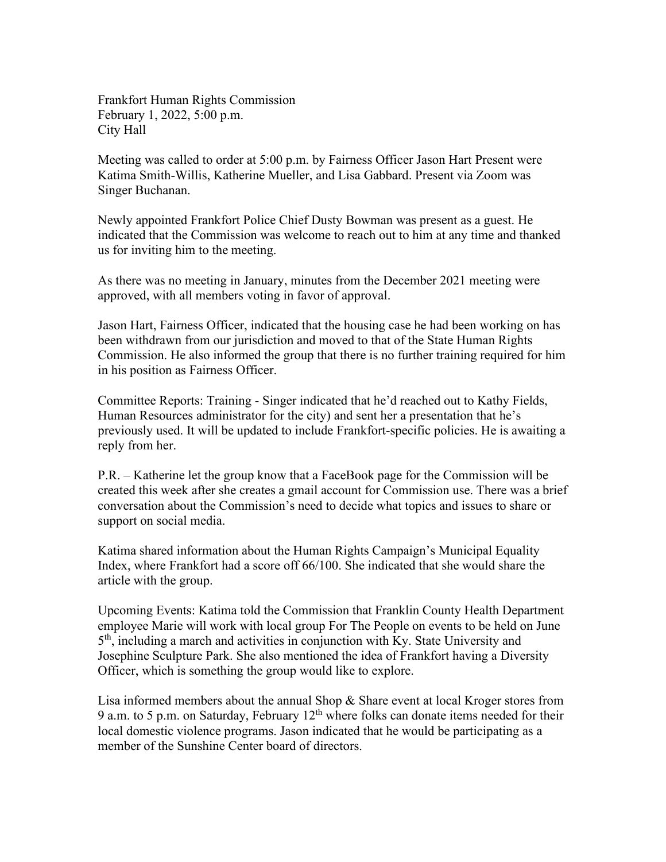Frankfort Human Rights Commission February 1, 2022, 5:00 p.m. City Hall

Meeting was called to order at 5:00 p.m. by Fairness Officer Jason Hart Present were Katima Smith-Willis, Katherine Mueller, and Lisa Gabbard. Present via Zoom was Singer Buchanan.

Newly appointed Frankfort Police Chief Dusty Bowman was present as a guest. He indicated that the Commission was welcome to reach out to him at any time and thanked us for inviting him to the meeting.

As there was no meeting in January, minutes from the December 2021 meeting were approved, with all members voting in favor of approval.

Jason Hart, Fairness Officer, indicated that the housing case he had been working on has been withdrawn from our jurisdiction and moved to that of the State Human Rights Commission. He also informed the group that there is no further training required for him in his position as Fairness Officer.

Committee Reports: Training - Singer indicated that he'd reached out to Kathy Fields, Human Resources administrator for the city) and sent her a presentation that he's previously used. It will be updated to include Frankfort-specific policies. He is awaiting a reply from her.

P.R. – Katherine let the group know that a FaceBook page for the Commission will be created this week after she creates a gmail account for Commission use. There was a brief conversation about the Commission's need to decide what topics and issues to share or support on social media.

Katima shared information about the Human Rights Campaign's Municipal Equality Index, where Frankfort had a score off 66/100. She indicated that she would share the article with the group.

Upcoming Events: Katima told the Commission that Franklin County Health Department employee Marie will work with local group For The People on events to be held on June 5th, including a march and activities in conjunction with Ky. State University and Josephine Sculpture Park. She also mentioned the idea of Frankfort having a Diversity Officer, which is something the group would like to explore.

Lisa informed members about the annual Shop & Share event at local Kroger stores from 9 a.m. to 5 p.m. on Saturday, February  $12<sup>th</sup>$  where folks can donate items needed for their local domestic violence programs. Jason indicated that he would be participating as a member of the Sunshine Center board of directors.